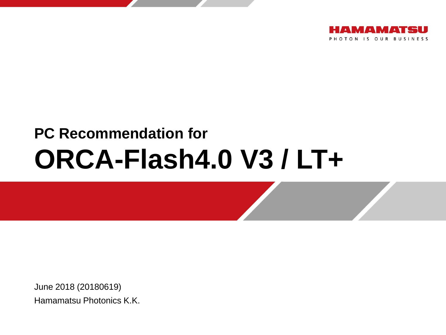

# **PC Recommendation for ORCA-Flash4.0 V3 / LT+**

June 2018 (20180619) Hamamatsu Photonics K.K.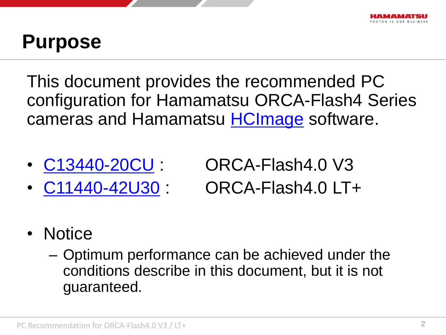### **Purpose**

This document provides the recommended PC configuration for Hamamatsu ORCA-Flash4 Series cameras and Hamamatsu **[HCImage](https://hcimage.com/)** software.

- 
- 

• [C13440-20CU](http://www.hamamatsu.com/us/en/C13440-20CU.html) : ORCA-Flash4.0 V3 • [C11440-42U30](https://www.hamamatsu.com/jp/en/C11440-42U30.html) : ORCA-Flash4.0 LT+

- Notice
	- Optimum performance can be achieved under the conditions describe in this document, but it is not guaranteed.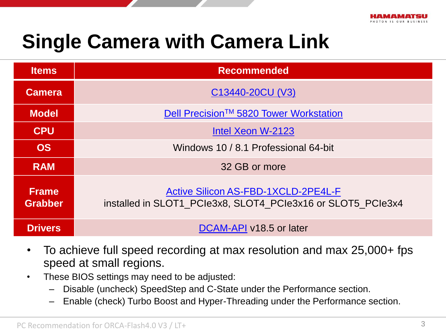

## **Single Camera with Camera Link**

| <b>Items</b>                   | <b>Recommended</b>                                                                                        |  |  |  |
|--------------------------------|-----------------------------------------------------------------------------------------------------------|--|--|--|
| <b>Camera</b>                  | C13440-20CU (V3)                                                                                          |  |  |  |
| <b>Model</b>                   | Dell Precision™ 5820 Tower Workstation                                                                    |  |  |  |
| <b>CPU</b>                     | Intel Xeon W-2123                                                                                         |  |  |  |
| <b>OS</b>                      | Windows 10 / 8.1 Professional 64-bit                                                                      |  |  |  |
| <b>RAM</b>                     | 32 GB or more                                                                                             |  |  |  |
| <b>Frame</b><br><b>Grabber</b> | <b>Active Silicon AS-FBD-1XCLD-2PE4L-F</b><br>installed in SLOT1 PCIe3x8, SLOT4 PCIe3x16 or SLOT5 PCIe3x4 |  |  |  |
| <b>Drivers</b>                 | DCAM-API v18.5 or later                                                                                   |  |  |  |

- To achieve full speed recording at max resolution and max 25,000+ fps speed at small regions.
- These BIOS settings may need to be adjusted:
	- Disable (uncheck) SpeedStep and C-State under the Performance section.
	- Enable (check) Turbo Boost and Hyper-Threading under the Performance section.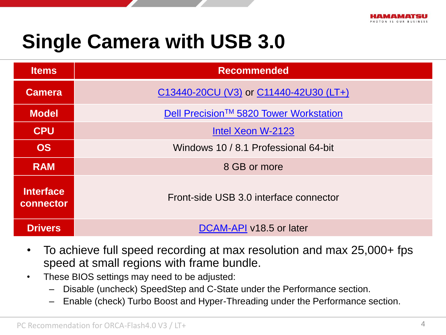## **Single Camera with USB 3.0**

| <b>Items</b>                  | <b>Recommended</b>                     |  |
|-------------------------------|----------------------------------------|--|
| <b>Camera</b>                 | C13440-20CU (V3) or C11440-42U30 (LT+) |  |
| <b>Model</b>                  | Dell Precision™ 5820 Tower Workstation |  |
| <b>CPU</b>                    | Intel Xeon W-2123                      |  |
| <b>OS</b>                     | Windows 10 / 8.1 Professional 64-bit   |  |
| <b>RAM</b>                    | 8 GB or more                           |  |
| <b>Interface</b><br>connector | Front-side USB 3.0 interface connector |  |
| <b>Drivers</b>                | DCAM-API v18.5 or later                |  |

- To achieve full speed recording at max resolution and max 25,000+ fps speed at small regions with frame bundle.
- These BIOS settings may need to be adjusted:
	- Disable (uncheck) SpeedStep and C-State under the Performance section.
	- Enable (check) Turbo Boost and Hyper-Threading under the Performance section.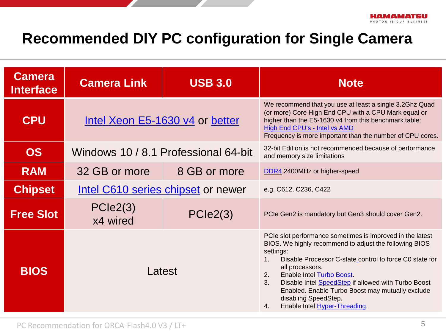#### **Recommended DIY PC configuration for Single Camera**

| <b>Camera</b><br><b>Interface</b> | <b>Camera Link</b>                   | <b>USB 3.0</b> | <b>Note</b>                                                                                                                                                                                                                                                                                                                                                                                                                              |  |
|-----------------------------------|--------------------------------------|----------------|------------------------------------------------------------------------------------------------------------------------------------------------------------------------------------------------------------------------------------------------------------------------------------------------------------------------------------------------------------------------------------------------------------------------------------------|--|
| <b>CPU</b>                        | Intel Xeon E5-1630 v4 or better      |                | We recommend that you use at least a single 3.2Ghz Quad<br>(or more) Core High End CPU with a CPU Mark equal or<br>higher than the E5-1630 v4 from this benchmark table:<br><b>High End CPU's - Intel vs AMD</b><br>Frequency is more important than the number of CPU cores.                                                                                                                                                            |  |
| <b>OS</b>                         | Windows 10 / 8.1 Professional 64-bit |                | 32-bit Edition is not recommended because of performance<br>and memory size limitations                                                                                                                                                                                                                                                                                                                                                  |  |
| <b>RAM</b>                        | 32 GB or more                        | 8 GB or more   | DDR4 2400MHz or higher-speed                                                                                                                                                                                                                                                                                                                                                                                                             |  |
| <b>Chipset</b>                    | Intel C610 series chipset or newer   |                | e.g. C612, C236, C422                                                                                                                                                                                                                                                                                                                                                                                                                    |  |
| <b>Free Slot</b>                  | PCle2(3)<br>x4 wired                 | PCle2(3)       | PCIe Gen2 is mandatory but Gen3 should cover Gen2.                                                                                                                                                                                                                                                                                                                                                                                       |  |
| <b>BIOS</b>                       | Latest                               |                | PCIe slot performance sometimes is improved in the latest<br>BIOS. We highly recommend to adjust the following BIOS<br>settings:<br>Disable Processor C-state_control to force C0 state for<br>all processors.<br><b>Enable Intel Turbo Boost.</b><br>2.<br>3.<br>Disable Intel SpeedStep if allowed with Turbo Boost<br>Enabled. Enable Turbo Boost may mutually exclude<br>disabling SpeedStep.<br>Enable Intel Hyper-Threading.<br>4. |  |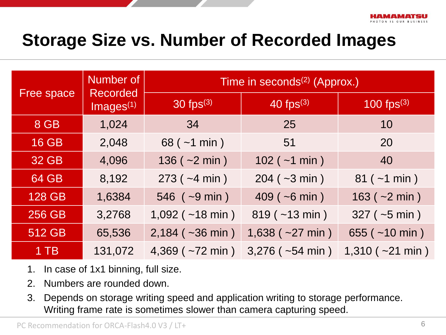### **Storage Size vs. Number of Recorded Images**

| <b>Free space</b> | Number of<br><b>Recorded</b><br>$Images^{(1)}$ | Time in seconds <sup>(2)</sup> (Approx.) |                          |                          |  |
|-------------------|------------------------------------------------|------------------------------------------|--------------------------|--------------------------|--|
|                   |                                                | 30 fps $(3)$                             | 40 fps $(3)$             | $100$ fps <sup>(3)</sup> |  |
| 8 GB              | 1,024                                          | 34                                       | 25                       | 10                       |  |
| <b>16 GB</b>      | 2,048                                          | $68$ ( $\sim$ 1 min)                     | 51                       | 20                       |  |
| 32 GB             | 4,096                                          | 136 ( $\sim$ 2 min)                      | $102$ ( $~1$ min )       | 40                       |  |
| <b>64 GB</b>      | 8,192                                          | $273$ ( $-4$ min)                        | $204 (-3 min)$           | $81 (-1 min)$            |  |
| <b>128 GB</b>     | 1,6384                                         | $546$ ( $\sim$ 9 min)                    | $409$ ( ~6 min )         | $163 (-2 min)$           |  |
| <b>256 GB</b>     | 3,2768                                         | $1,092$ ( $\sim$ 18 min)                 | $819$ ( $~13$ min)       | $327$ ( $\sim$ 5 min)    |  |
| 512 GB            | 65,536                                         | $2,184$ ( $\sim$ 36 min)                 | $1,638$ ( $\sim$ 27 min) | 655 ( $~10$ min)         |  |
| $1$ TB            | 131,072                                        | 4,369 ( $\sim$ 72 min)                   | $3,276$ ( $\sim$ 54 min) | $1,310$ ( $\sim$ 21 min) |  |

- 1. In case of 1x1 binning, full size.
- 2. Numbers are rounded down.
- 3. Depends on storage writing speed and application writing to storage performance. Writing frame rate is sometimes slower than camera capturing speed.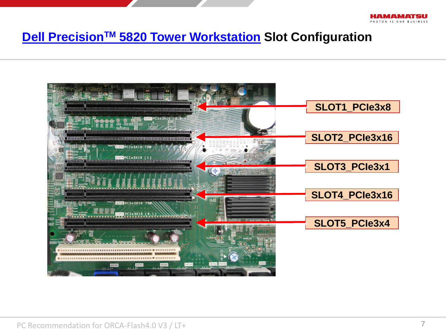

#### **[Dell Precision](http://www.dell.com/support/home/us/en/04/product-support/product/precision-5820-workstation/manuals)[TM](http://www.dell.com/support/home/us/en/04/product-support/product/precision-5820-workstation/manuals) [5820](http://www.dell.com/support/home/us/en/04/product-support/product/precision-5820-workstation/manuals) [Tower Workstation](http://www.dell.com/support/home/us/en/04/product-support/product/precision-5820-workstation/manuals) Slot Configuration**